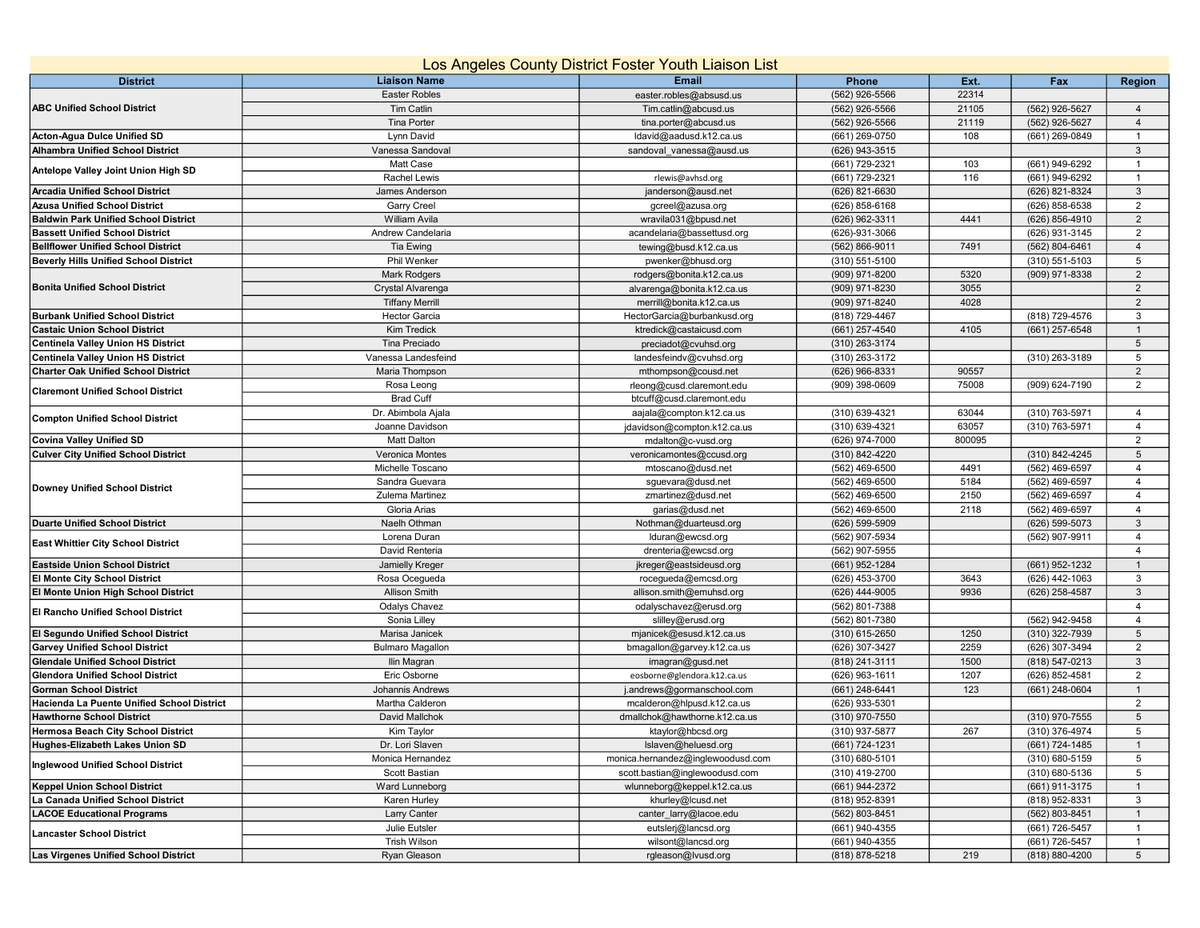| Los Angeles County District Foster Youth Liaison List |                         |                                   |                  |        |                    |                 |  |  |  |  |  |
|-------------------------------------------------------|-------------------------|-----------------------------------|------------------|--------|--------------------|-----------------|--|--|--|--|--|
| <b>District</b>                                       | <b>Liaison Name</b>     | Email                             | Phone            | Ext.   | Fax                | <b>Region</b>   |  |  |  |  |  |
| <b>ABC Unified School District</b>                    | <b>Easter Robles</b>    | easter.robles@absusd.us           | (562) 926-5566   | 22314  |                    |                 |  |  |  |  |  |
|                                                       | <b>Tim Catlin</b>       | Tim.catlin@abcusd.us              | (562) 926-5566   | 21105  | (562) 926-5627     | $\overline{4}$  |  |  |  |  |  |
|                                                       | Tina Porter             | tina.porter@abcusd.us             | (562) 926-5566   | 21119  | (562) 926-5627     | $\overline{4}$  |  |  |  |  |  |
| <b>Acton-Agua Dulce Unified SD</b>                    | Lynn David              | Idavid@aadusd.k12.ca.us           | (661) 269-0750   | 108    | (661) 269-0849     | $\overline{1}$  |  |  |  |  |  |
| <b>Alhambra Unified School District</b>               | Vanessa Sandoval        | sandoval vanessa@ausd.us          | (626) 943-3515   |        |                    | $\mathbf{3}$    |  |  |  |  |  |
| Antelope Valley Joint Union High SD                   | Matt Case               |                                   | (661) 729-2321   | 103    | (661) 949-6292     | $\overline{1}$  |  |  |  |  |  |
|                                                       | <b>Rachel Lewis</b>     | rlewis@avhsd.org                  | (661) 729-2321   | 116    | (661) 949-6292     | $\overline{1}$  |  |  |  |  |  |
| <b>Arcadia Unified School District</b>                | James Anderson          | janderson@ausd.net                | (626) 821-6630   |        | (626) 821-8324     | $\mathbf{3}$    |  |  |  |  |  |
| <b>Azusa Unified School District</b>                  | Garry Creel             | gcreel@azusa.org                  | (626) 858-6168   |        | (626) 858-6538     | $\overline{2}$  |  |  |  |  |  |
| <b>Baldwin Park Unified School District</b>           | <b>William Avila</b>    | wravila031@bpusd.net              | (626) 962-3311   | 4441   | (626) 856-4910     | $\overline{2}$  |  |  |  |  |  |
| <b>Bassett Unified School District</b>                | Andrew Candelaria       | acandelaria@bassettusd.org        | (626)-931-3066   |        | (626) 931-3145     | $\overline{2}$  |  |  |  |  |  |
| <b>Bellflower Unified School District</b>             | Tia Ewing               | tewing@busd.k12.ca.us             | (562) 866-9011   | 7491   | (562) 804-6461     | $\overline{4}$  |  |  |  |  |  |
| <b>Beverly Hills Unified School District</b>          | Phil Wenker             | pwenker@bhusd.org                 | (310) 551-5100   |        | $(310) 551 - 5103$ | $5\phantom{.0}$ |  |  |  |  |  |
| <b>Bonita Unified School District</b>                 | <b>Mark Rodgers</b>     | rodgers@bonita.k12.ca.us          | (909) 971-8200   | 5320   | (909) 971-8338     | $\overline{2}$  |  |  |  |  |  |
|                                                       | Crystal Alvarenga       | alvarenga@bonita.k12.ca.us        | (909) 971-8230   | 3055   |                    | $\overline{2}$  |  |  |  |  |  |
|                                                       | <b>Tiffany Merrill</b>  | merrill@bonita.k12.ca.us          | (909) 971-8240   | 4028   |                    | 2               |  |  |  |  |  |
| <b>Burbank Unified School District</b>                | <b>Hector Garcia</b>    | HectorGarcia@burbankusd.org       | (818) 729-4467   |        | (818) 729-4576     | 3               |  |  |  |  |  |
| <b>Castaic Union School District</b>                  | Kim Tredick             | ktredick@castaicusd.com           | (661) 257-4540   | 4105   | (661) 257-6548     | $\overline{1}$  |  |  |  |  |  |
| <b>Centinela Valley Union HS District</b>             | Tina Preciado           | preciadot@cvuhsd.org              | (310) 263-3174   |        |                    | $5\phantom{.0}$ |  |  |  |  |  |
| <b>Centinela Valley Union HS District</b>             | Vanessa Landesfeind     | landesfeindv@cvuhsd.org           | (310) 263-3172   |        | (310) 263-3189     | 5               |  |  |  |  |  |
| <b>Charter Oak Unified School District</b>            | Maria Thompson          | mthompson@cousd.net               | (626) 966-8331   | 90557  |                    | $\overline{2}$  |  |  |  |  |  |
|                                                       | Rosa Leong              | rleong@cusd.claremont.edu         | (909) 398-0609   | 75008  | (909) 624-7190     | $\overline{2}$  |  |  |  |  |  |
| <b>Claremont Unified School District</b>              | <b>Brad Cuff</b>        | btcuff@cusd.claremont.edu         |                  |        |                    |                 |  |  |  |  |  |
|                                                       | Dr. Abimbola Ajala      | aajala@compton.k12.ca.us          | (310) 639-4321   | 63044  | (310) 763-5971     | $\overline{4}$  |  |  |  |  |  |
| <b>Compton Unified School District</b>                | Joanne Davidson         | jdavidson@compton.k12.ca.us       | (310) 639-4321   | 63057  | (310) 763-5971     | $\overline{4}$  |  |  |  |  |  |
| <b>Covina Valley Unified SD</b>                       | <b>Matt Dalton</b>      | mdalton@c-vusd.org                | (626) 974-7000   | 800095 |                    | $\overline{2}$  |  |  |  |  |  |
| <b>Culver City Unified School District</b>            | Veronica Montes         | veronicamontes@ccusd.org          | (310) 842-4220   |        | (310) 842-4245     | $\,$ 5 $\,$     |  |  |  |  |  |
|                                                       | Michelle Toscano        | mtoscano@dusd.net                 | (562) 469-6500   | 4491   | (562) 469-6597     | 4               |  |  |  |  |  |
|                                                       | Sandra Guevara          | sguevara@dusd.net                 | (562) 469-6500   | 5184   | (562) 469-6597     | $\overline{4}$  |  |  |  |  |  |
| Downey Unified School District                        | Zulema Martinez         | zmartinez@dusd.net                | $(562)$ 469-6500 | 2150   | (562) 469-6597     | $\overline{4}$  |  |  |  |  |  |
|                                                       | Gloria Arias            | garias@dusd.net                   | (562) 469-6500   | 2118   | (562) 469-6597     | $\overline{4}$  |  |  |  |  |  |
| <b>Duarte Unified School District</b>                 | Naelh Othman            | Nothman@duarteusd.org             | (626) 599-5909   |        | (626) 599-5073     | $\mathbf{3}$    |  |  |  |  |  |
|                                                       | Lorena Duran            | lduran@ewcsd.org                  | (562) 907-5934   |        | (562) 907-9911     | $\overline{4}$  |  |  |  |  |  |
| <b>East Whittier City School District</b>             | David Renteria          | drenteria@ewcsd.org               | (562) 907-5955   |        |                    | $\overline{4}$  |  |  |  |  |  |
| <b>Eastside Union School District</b>                 | Jamielly Kreger         | jkreger@eastsideusd.org           | (661) 952-1284   |        | (661) 952-1232     | $\overline{1}$  |  |  |  |  |  |
| <b>El Monte City School District</b>                  | Rosa Ocegueda           | rocegueda@emcsd.org               | (626) 453-3700   | 3643   | (626) 442-1063     | $\mathbf{3}$    |  |  |  |  |  |
| El Monte Union High School District                   | <b>Allison Smith</b>    | allison.smith@emuhsd.org          | (626) 444-9005   | 9936   | (626) 258-4587     | $\mathbf{3}$    |  |  |  |  |  |
|                                                       | <b>Odalys Chavez</b>    | odalyschavez@erusd.org            | (562) 801-7388   |        |                    | $\overline{4}$  |  |  |  |  |  |
| El Rancho Unified School District                     | Sonia Lilley            | slilley@erusd.org                 | (562) 801-7380   |        | (562) 942-9458     | $\overline{4}$  |  |  |  |  |  |
| <b>El Segundo Unified School District</b>             | Marisa Janicek          | mjanicek@esusd.k12.ca.us          | (310) 615-2650   | 1250   | (310) 322-7939     | $\,$ 5 $\,$     |  |  |  |  |  |
| <b>Garvey Unified School District</b>                 | <b>Bulmaro Magallon</b> | bmagallon@garvey.k12.ca.us        | (626) 307-3427   | 2259   | (626) 307-3494     | $\overline{2}$  |  |  |  |  |  |
| <b>Glendale Unified School District</b>               | Ilin Magran             | imagran@gusd.net                  | (818) 241-3111   | 1500   | (818) 547-0213     | 3               |  |  |  |  |  |
| <b>Glendora Unified School District</b>               | Eric Osborne            | eosborne@glendora.k12.ca.us       | (626) 963-1611   | 1207   | (626) 852-4581     | $\overline{2}$  |  |  |  |  |  |
| <b>Gorman School District</b>                         | Johannis Andrews        | .andrews@gormanschool.com         | (661) 248-6441   | 123    | (661) 248-0604     | $\mathbf{1}$    |  |  |  |  |  |
| Hacienda La Puente Unified School District            | Martha Calderon         | mcalderon@hlpusd.k12.ca.us        | (626) 933-5301   |        |                    | $\overline{2}$  |  |  |  |  |  |
| <b>Hawthorne School District</b>                      | David Mallchok          | dmallchok@hawthorne.k12.ca.us     | (310) 970-7550   |        | (310) 970-7555     | 5               |  |  |  |  |  |
| Hermosa Beach City School District                    | Kim Taylor              | ktaylor@hbcsd.org                 | (310) 937-5877   | 267    | (310) 376-4974     | 5               |  |  |  |  |  |
| Hughes-Elizabeth Lakes Union SD                       | Dr. Lori Slaven         | Islaven@heluesd.org               | (661) 724-1231   |        | (661) 724-1485     | $\overline{1}$  |  |  |  |  |  |
| Inglewood Unified School District                     | Monica Hernandez        | monica.hernandez@inglewoodusd.com | (310) 680-5101   |        | (310) 680-5159     | 5               |  |  |  |  |  |
|                                                       | Scott Bastian           | scott.bastian@inglewoodusd.com    | (310) 419-2700   |        | (310) 680-5136     | 5               |  |  |  |  |  |
| Keppel Union School District                          | Ward Lunneborg          | wlunneborg@keppel.k12.ca.us       | (661) 944-2372   |        | (661) 911-3175     | $\overline{1}$  |  |  |  |  |  |
| La Canada Unified School District                     | Karen Hurley            | khurley@lcusd.net                 | (818) 952-8391   |        | (818) 952-8331     | 3               |  |  |  |  |  |
| <b>LACOE Educational Programs</b>                     | Larry Canter            | canter larry@lacoe.edu            | (562) 803-8451   |        | (562) 803-8451     | $\overline{1}$  |  |  |  |  |  |
| <b>Lancaster School District</b>                      | Julie Eutsler           | eutslerj@lancsd.org               | (661) 940-4355   |        | (661) 726-5457     | $\overline{1}$  |  |  |  |  |  |
|                                                       | Trish Wilson            | wilsont@lancsd.org                | (661) 940-4355   |        | (661) 726-5457     | $\overline{1}$  |  |  |  |  |  |
| Las Virgenes Unified School District                  | Ryan Gleason            | rgleason@lvusd.org                | (818) 878-5218   | 219    | (818) 880-4200     | $5\overline{)}$ |  |  |  |  |  |
|                                                       |                         |                                   |                  |        |                    |                 |  |  |  |  |  |